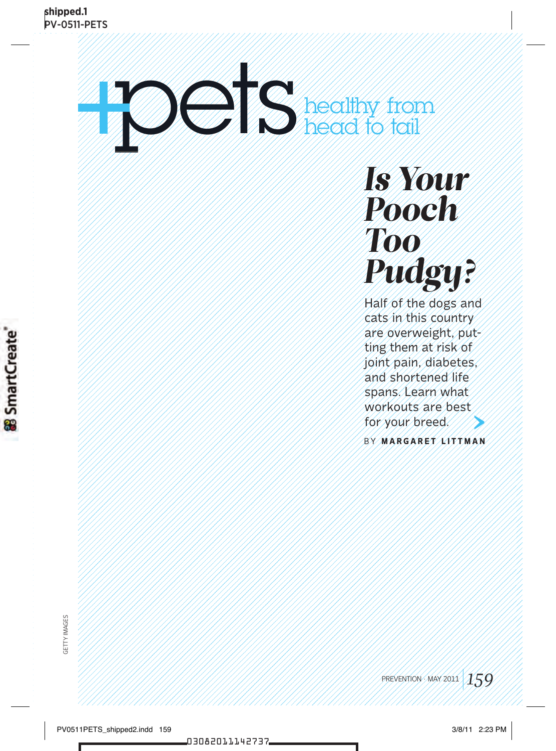# pets to the control of the Read of Tail head to tail

## *Is Your Pooch Too Pudgy?*

Half of the dogs and cats in this country are overweight, putting them at risk of joint pain, diabetes, and shortened life spans. Learn what workouts are best for your breed.

b y **M A R G A R E T L I T T M A N**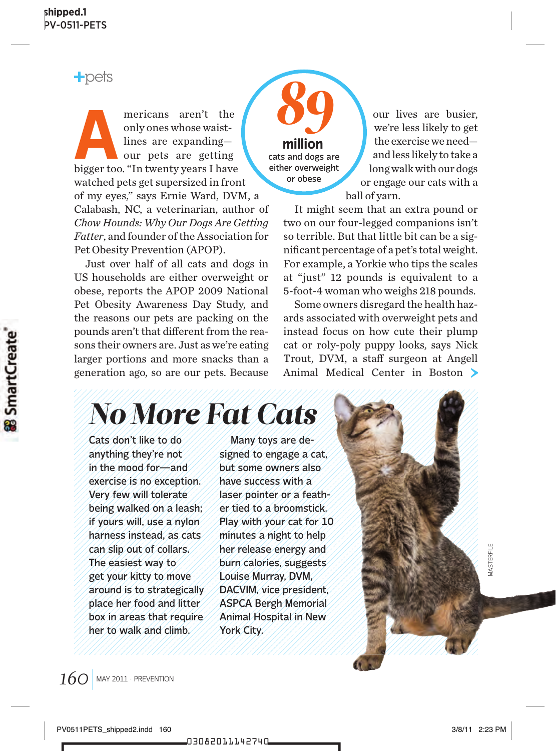$+$ pets

**A** mericans aren't the bigger too. "In twenty years I have only ones whose waistlines are expanding our pets are getting watched pets get supersized in front of my eyes," says Ernie Ward, DVM, a Calabash, NC, a veterinarian, author of *Chow Hounds: Why Our Dogs Are Getting Fatter*, and founder of the Association for Pet Obesity Prevention (APOP).

Just over half of all cats and dogs in US households are either overweight or obese, reports the APOP 2009 National Pet Obesity Awareness Day Study, and the reasons our pets are packing on the pounds aren't that different from the reasons their owners are. Just as we're eating larger portions and more snacks than a generation ago, so are our pets. Because

cats and dogs are either overweight or obese **million**

*89*

our lives are busier, we're less likely to get the exercise we need and less likely to take a long walk with our dogs or engage our cats with a ball of yarn.

It might seem that an extra pound or two on our four-legged companions isn't so terrible. But that little bit can be a significant percentage of a pet's total weight. For example, a Yorkie who tips the scales at "just" 12 pounds is equivalent to a 5-foot-4 woman who weighs 218 pounds.

Some owners disregard the health hazards associated with overweight pets and instead focus on how cute their plump cat or roly-poly puppy looks, says Nick Trout, DVM, a staff surgeon at Angell Animal Medical Center in Boston

## *No More Fat Cats*

Cats don't like to do anything they're not in the mood for—and exercise is no exception. Very few will tolerate being walked on a leash; if yours will, use a nylon harness instead, as cats can slip out of collars. The easiest way to get your kitty to move around is to strategically place her food and litter box in areas that require her to walk and climb.

Many toys are designed to engage a cat, but some owners also have success with a laser pointer or a feather tied to a broomstick. Play with your cat for 10 minutes a night to help her release energy and burn calories, suggests Louise Murray, DVM, DACVIM, vice president, ASPCA Bergh Memorial Animal Hospital in New York City.

**MASTERFILE** MASTERFILE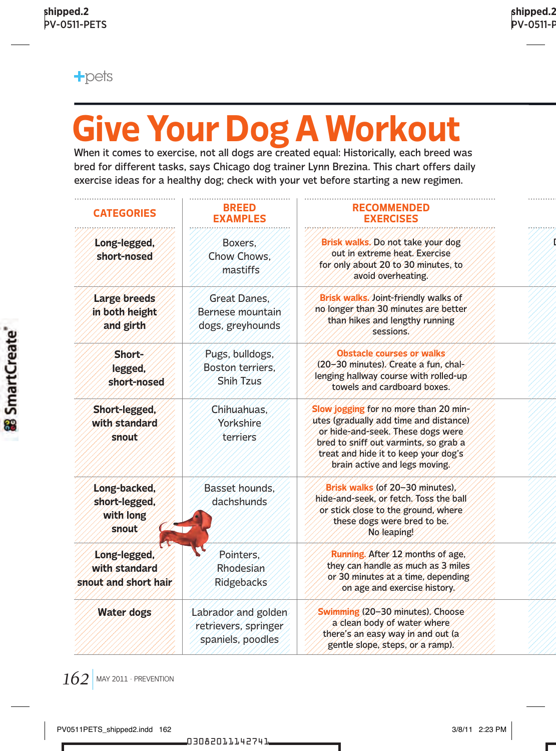

# **Give Your Dog A Workout**

When it comes to exercise, not all dogs are created equal: Historically, each breed was bred for different tasks, says Chicago dog trainer Lynn Brezina. This chart offers daily exercise ideas for a healthy dog; check with your vet before starting a new regimen.

| <b>CATEGORIES</b>                                      | <b>BREED</b><br><b>EXAMPLES</b>                                  | <b>RECOMMENDED</b><br><b>EXERCISES</b>                                                                                                                                                                                                 |
|--------------------------------------------------------|------------------------------------------------------------------|----------------------------------------------------------------------------------------------------------------------------------------------------------------------------------------------------------------------------------------|
| Long-legged,<br>short-nosed                            | Boxers.<br>Chow Chows.<br>mastiffs                               | Brisk walks. Do not take your dog<br>out in extreme heat. Exercise<br>for only about 20 to 30 minutes, to<br>avoid overheating.                                                                                                        |
| Large breeds<br>in both height<br>and girth            | <b>Great Danes.</b><br>Bernese mountain<br>dogs, greyhounds      | Brisk walks. Joint-friendly walks of<br>no longer than 30 minutes are better<br>than hikes and lengthy running<br>sessions.                                                                                                            |
| Short-<br>legged,<br>short-nosed                       | Pugs, bulldogs,<br>Boston terriers.<br>Shih Tzus                 | Obstacle courses or walks<br>(20-30 minutes). Create a fun. chal-<br>lenging hallway course with rolled-up<br>towels and cardboard boxes.                                                                                              |
| Short-legged,<br>with standard<br>snout                | Chihuahuas.<br>Yorkshire<br>terriers                             | Slow jogging for no more than 20 min-<br>utes (gradually add time and distance)<br>or hide-and-seek. These dogs were<br>bred to sniff out varmints, so grab a<br>treat and hide it to keep your dog's<br>brain active and legs moving. |
| Long-backed,<br>short-legged,<br>with long<br>snout    | Basset hounds.<br>dachshunds                                     | Brisk walks (of 20-30 minutes).<br>hide-and-seek, or fetch. Toss the ball<br>or stick close to the ground, where<br>these dogs were bred to be.<br>No leaping!                                                                         |
| Long-legged,<br>with standard<br>snout and short hair. | Pointers.<br>Rhodesian<br>Ridgebacks                             | Running. After 12 months of age.<br>they can handle as much as 3 miles<br>or 30 minutes at a time, depending<br>on age and exercise history.                                                                                           |
| <b>Water dogs</b>                                      | Labrador and golden<br>retrievers, springer<br>spaniels, poodles | Swimming (20-30 minutes). Choose<br>a clean body of water where<br>there's an easy way in and out (a)<br>gentle slope, steps, or a ramp).                                                                                              |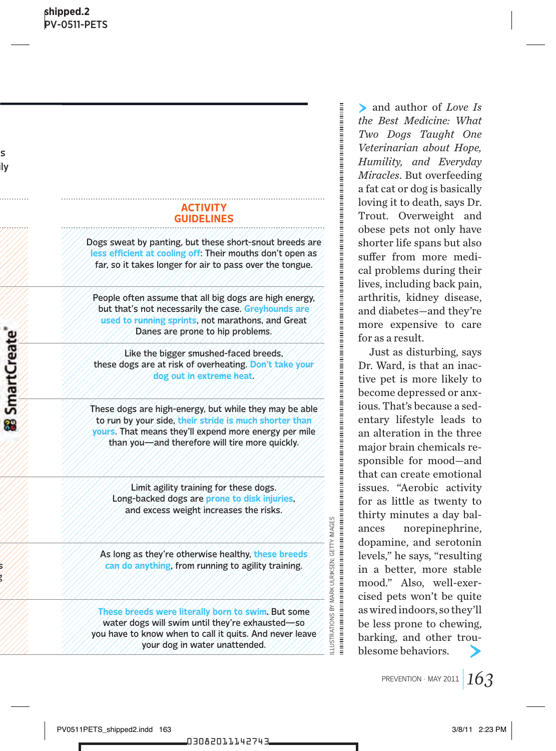#### **activit y guidelines**

Dogs sweat by panting, but these short-snout breeds are **less efficient at cooling off**: Their mouths don't open as far, so it takes longer for air to pass over the tongue.

People often assume that all big dogs are high energy, but that's not necessarily the case. **Greyhounds are used to running sprints**, not marathons, and Great Danes are prone to hip problems.

Like the bigger smushed-faced breeds, these dogs are at risk of overheating. **Don't take your dog out in extreme heat**.

These dogs are high-energy, but while they may be able to run by your side, **their stride is much shorter than yours**. That means they'll expend more energy per mile than you—and therefore will tire more quickly.

Limit agility training for these dogs. Long-backed dogs are **prone to disk injuries**, and excess weight increases the risks.

As long as they're otherwise healthy, **these breeds can do anything**, from running to agility training.

**These breeds were literally born to swim.** But some water dogs will swim until they're exhausted—so you have to know when to call it quits. And never leave your dog in water unattended.

and author of *Love Is the Best Medicine: What Two Dogs Taught One Veterinarian about Hope, Humility, and Everyday Miracles*. But overfeeding a fat cat or dog is basically loving it to death, says Dr. Trout. Overweight and obese pets not only have shorter life spans but also suffer from more medical problems during their lives, including back pain, arthritis, kidney disease, and diabetes—and they're more expensive to care for as a result.

Just as disturbing, says Dr. Ward, is that an inactive pet is more likely to become depressed or anxious. That's because a sedentary lifestyle leads to an alteration in the three major brain chemicals responsible for mood—and that can create emotional issues. "Aerobic activity for as little as twenty to thirty minutes a day balances norepinephrine, dopamine, and serotonin levels," he says, "resulting in a better, more stable mood." Also, well-exercised pets won't be quite as wired indoors, so they'll be less prone to chewing, barking, and other troublesome behaviors.

illustrations by mark ulriksen; getty images

LLUSTRATIONS BY MARK ULRIKSEN: GETTY IMAGES